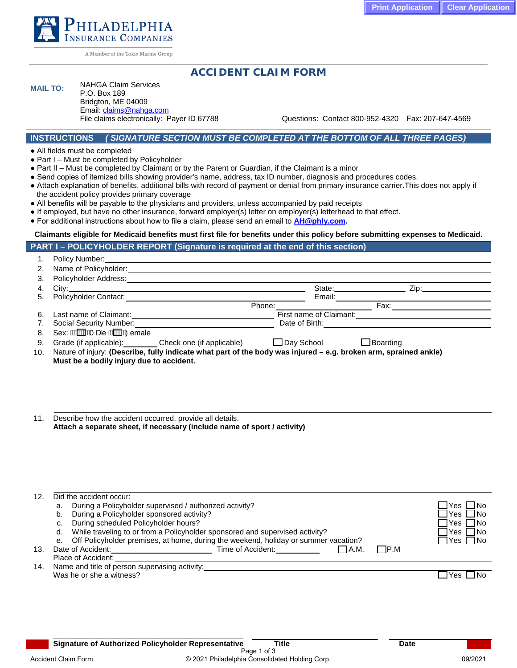

A Member of the Tokio Marine Group

# **ACCIDENT CLAIM FORM**

# **MAIL TO:** NAHGA Claim Services

P.O. Box 189 Bridgton, ME 04009 Email: claims@nahga.com<br>File claims electronically: Payer ID 67788

Questions: Contact 800-952-4320 Fax: 207-647-4569

### **INSTRUCTIONS** *( SIGNATURE SECTION MUST BE COMPLETED AT THE BOTTOM OF ALL THREE PAGES)*

● All fields must be completed

1. Policy Number:

- Part I Must be completed by Policyholder
- Part II Must be completed by Claimant or by the Parent or Guardian, if the Claimant is a minor
- Send copies of itemized bills showing provider's name, address, tax ID number, diagnosis and procedures codes.
- Attach explanation of benefits, additional bills with record of payment or denial from primary insurance carrier.This does not apply if the accident policy provides primary coverage
- All benefits will be payable to the physicians and providers, unless accompanied by paid receipts
- If employed, but have no other insurance, forward employer(s) letter on employer(s) letterhead to that effect.
- For additional instructions about how to file a claim, please send an email to **AH@phly.com.**

# **Claimants eligible for Medicaid benefits must first file for benefits under this policy before submitting expenses to Medicaid.**

# **PART I – POLICYHOLDER REPORT (Signature is required at the end of this section)**

|     | $\blacksquare$ . Tully indifficit.                                                                               |                               |                                                                                                                                                                                                                                |      |
|-----|------------------------------------------------------------------------------------------------------------------|-------------------------------|--------------------------------------------------------------------------------------------------------------------------------------------------------------------------------------------------------------------------------|------|
|     | Name of Policyholder:                                                                                            |                               |                                                                                                                                                                                                                                |      |
| 3.  | Policyholder Address:                                                                                            |                               |                                                                                                                                                                                                                                |      |
| 4.  |                                                                                                                  |                               | State: and the state of the state of the state of the state of the state of the state of the state of the state of the state of the state of the state of the state of the state of the state of the state of the state of the | Zip: |
| 5.  | Policyholder Contact:                                                                                            | Email:                        |                                                                                                                                                                                                                                |      |
|     | Phone:                                                                                                           |                               | Fax:                                                                                                                                                                                                                           |      |
| 6.  | Last name of Claimant:                                                                                           | First name of Claimant:       |                                                                                                                                                                                                                                |      |
| 7.  | Social Security Number:                                                                                          | Date of Birth: Date of Birth: |                                                                                                                                                                                                                                |      |
| 8.  | Sex: ANXXIVANT ade ANXXIVADemale                                                                                 |                               |                                                                                                                                                                                                                                |      |
| 9.  | Grade (if applicable): Check one (if applicable)                                                                 | $\Box$ Day School             | $\Box$ Boarding                                                                                                                                                                                                                |      |
| 10. | Nature of injury: (Describe, fully indicate what part of the body was injured – e.g. broken arm, sprained ankle) |                               |                                                                                                                                                                                                                                |      |
|     | Must be a bodily injury due to accident.                                                                         |                               |                                                                                                                                                                                                                                |      |

11. Describe how the accident occurred, provide all details. **Attach a separate sheet, if necessary (include name of sport / activity)**

| 12. | Did the accident occur:                                                                |                          |
|-----|----------------------------------------------------------------------------------------|--------------------------|
|     | During a Policyholder supervised / authorized activity?<br>a.                          | $\Box$ Yes $\Box$ No     |
|     | During a Policyholder sponsored activity?<br>b.                                        | $\Box$ Yes $\Box$ No     |
|     | During scheduled Policyholder hours?<br>С.                                             | $\Box$ Yes $\Box$ No     |
|     | While traveling to or from a Policyholder sponsored and supervised activity?<br>d.     | $\exists$ Yes $\Box$ No  |
|     | e. Off Policyholder premises, at home, during the weekend, holiday or summer vacation? | $\Box$ Yes $\Box$ No     |
| 13. | Date of Accident:<br>Time of Accident:<br>$\square$ P.M<br>III A.M.                    |                          |
|     | Place of Accident:                                                                     |                          |
| 14. | Name and title of person supervising activity:                                         |                          |
|     | Was he or she a witness?                                                               | $\sqcup$ Yes $\sqcup$ No |
|     |                                                                                        |                          |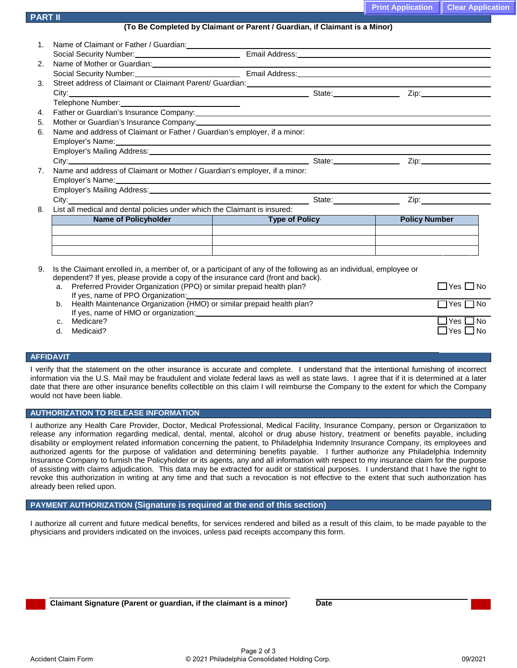|  | <b>Print Application   Clear Application</b> |
|--|----------------------------------------------|
|--|----------------------------------------------|

| (To Be Completed by Claimant or Parent / Guardian, if Claimant is a Minor) |  |
|----------------------------------------------------------------------------|--|
|----------------------------------------------------------------------------|--|

| Name and address of Claimant or Mother / Guardian's employer, if a minor: |  |                                                                                                                                                                                                                                                                                                                                                                                                                                                                                  |  |  |
|---------------------------------------------------------------------------|--|----------------------------------------------------------------------------------------------------------------------------------------------------------------------------------------------------------------------------------------------------------------------------------------------------------------------------------------------------------------------------------------------------------------------------------------------------------------------------------|--|--|
|                                                                           |  |                                                                                                                                                                                                                                                                                                                                                                                                                                                                                  |  |  |
|                                                                           |  |                                                                                                                                                                                                                                                                                                                                                                                                                                                                                  |  |  |
|                                                                           |  |                                                                                                                                                                                                                                                                                                                                                                                                                                                                                  |  |  |
| List all medical and dental policies under which the Claimant is insured: |  |                                                                                                                                                                                                                                                                                                                                                                                                                                                                                  |  |  |
|                                                                           |  | <b>The Company</b><br><b>Policy Number</b>                                                                                                                                                                                                                                                                                                                                                                                                                                       |  |  |
|                                                                           |  |                                                                                                                                                                                                                                                                                                                                                                                                                                                                                  |  |  |
|                                                                           |  |                                                                                                                                                                                                                                                                                                                                                                                                                                                                                  |  |  |
|                                                                           |  |                                                                                                                                                                                                                                                                                                                                                                                                                                                                                  |  |  |
|                                                                           |  | Telephone Number: Van Antonio Van Antonio Van Antonio Van Antonio Van Antonio Van Antonio Van Antonio Van Anton<br>Mother or Guardian's Insurance Company:<br>2020 - Company: Company: Company: Company: Company: Company: Company: Company: Company: Company: Company: Comp<br>2021 - Company: Company: Company: Company: Company: Company: Company:<br>Name and address of Claimant or Father / Guardian's employer, if a minor:<br>Name of Policyholder <b>Name of Policy</b> |  |  |

| а. | Preferred Provider Organization (PPO) or similar prepaid health plan? | ∃Yes I ∃No           |
|----|-----------------------------------------------------------------------|----------------------|
|    | If yes, name of PPO Organization:                                     |                      |
| b. | Health Maintenance Organization (HMO) or similar prepaid health plan? | $\Box$ Yes $\Box$ No |
|    | If yes, name of HMO or organization:                                  |                      |
|    | Medicare?                                                             | $Yes \Box$ No        |
| d. | Medicaid?                                                             | $\Box$ Yes $\Box$ No |

### **AFFIDAVIT**

**PART II** 

I verify that the statement on the other insurance is accurate and complete. I understand that the intentional furnishing of incorrect information via the U.S. Mail may be fraudulent and violate federal laws as well as state laws. I agree that if it is determined at a later date that there are other insurance benefits collectible on this claim I will reimburse the Company to the extent for which the Company would not have been liable.

#### **AUTHORIZATION TO RELEASE INFORMATION**

I authorize any Health Care Provider, Doctor, Medical Professional, Medical Facility, Insurance Company, person or Organization to release any information regarding medical, dental, mental, alcohol or drug abuse history, treatment or benefits payable, including disability or employment related information concerning the patient, to Philadelphia Indemnity Insurance Company, its employees and authorized agents for the purpose of validation and determining benefits payable. I further authorize any Philadelphia Indemnity Insurance Company to furnish the Policyholder or its agents, any and all information with respect to my insurance claim for the purpose of assisting with claims adjudication. This data may be extracted for audit or statistical purposes. I understand that I have the right to revoke this authorization in writing at any time and that such a revocation is not effective to the extent that such authorization has already been relied upon.

#### **PAYMENT AUTHORIZATION (Signature is required at the end of this section)**

I authorize all current and future medical benefits, for services rendered and billed as a result of this claim, to be made payable to the physicians and providers indicated on the invoices, unless paid receipts accompany this form.

**Claimant Signature (Parent or guardian, if the claimant is a minor) Date**

\_\_\_\_\_\_\_\_\_\_\_\_\_\_\_\_\_\_\_\_\_\_\_\_\_\_\_\_\_\_\_\_\_\_\_\_\_\_\_\_\_\_\_\_\_\_\_\_\_\_\_\_\_\_\_\_\_